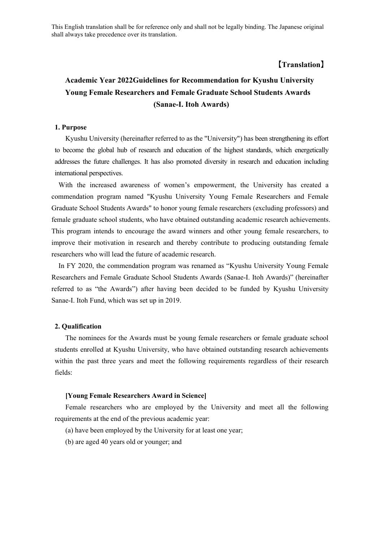# 【**Translation**】

# **Academic Year 2022Guidelines for Recommendation for Kyushu University Young Female Researchers and Female Graduate School Students Awards (Sanae-I. Itoh Awards)**

#### **1. Purpose**

Kyushu University (hereinafter referred to as the "University") has been strengthening its effort to become the global hub of research and education of the highest standards, which energetically addresses the future challenges. It has also promoted diversity in research and education including international perspectives.

With the increased awareness of women's empowerment, the University has created a commendation program named "Kyushu University Young Female Researchers and Female Graduate School Students Awards" to honor young female researchers (excluding professors) and female graduate school students, who have obtained outstanding academic research achievements. This program intends to encourage the award winners and other young female researchers, to improve their motivation in research and thereby contribute to producing outstanding female researchers who will lead the future of academic research.

In FY 2020, the commendation program was renamed as "Kyushu University Young Female Researchers and Female Graduate School Students Awards (Sanae-I. Itoh Awards)" (hereinafter referred to as "the Awards") after having been decided to be funded by Kyushu University Sanae-I. Itoh Fund, which was set up in 2019.

#### **2. Qualification**

The nominees for the Awards must be young female researchers or female graduate school students enrolled at Kyushu University, who have obtained outstanding research achievements within the past three years and meet the following requirements regardless of their research fields:

#### **[Young Female Researchers Award in Science]**

Female researchers who are employed by the University and meet all the following requirements at the end of the previous academic year:

- (a) have been employed by the University for at least one year;
- (b) are aged 40 years old or younger; and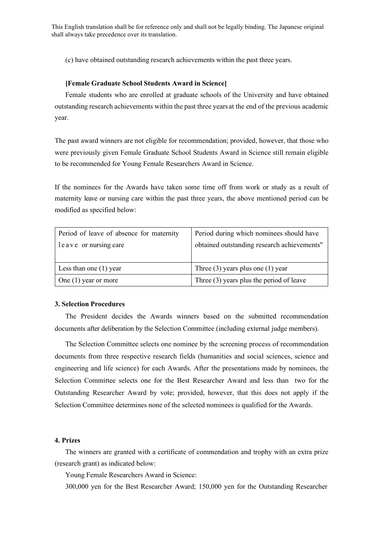(c) have obtained outstanding research achievements within the past three years.

## **[Female Graduate School Students Award in Science]**

Female students who are enrolled at graduate schools of the University and have obtained outstanding research achievements within the past three years at the end of the previous academic year.

The past award winners are not eligible for recommendation; provided, however, that those who were previously given Female Graduate School Students Award in Science still remain eligible to be recommended for Young Female Researchers Award in Science.

If the nominees for the Awards have taken some time off from work or study as a result of maternity leave or nursing care within the past three years, the above mentioned period can be modified as specified below:

| Period of leave of absence for maternity | Period during which nominees should have    |
|------------------------------------------|---------------------------------------------|
| leave or nursing care                    | obtained outstanding research achievements" |
|                                          |                                             |
| Less than one $(1)$ year                 | Three $(3)$ years plus one $(1)$ year       |
| One $(1)$ year or more                   | Three $(3)$ years plus the period of leave  |

#### **3. Selection Procedures**

The President decides the Awards winners based on the submitted recommendation documents after deliberation by the Selection Committee (including external judge members).

The Selection Committee selects one nominee by the screening process of recommendation documents from three respective research fields (humanities and social sciences, science and engineering and life science) for each Awards. After the presentations made by nominees, the Selection Committee selects one for the Best Researcher Award and less than two for the Outstanding Researcher Award by vote; provided, however, that this does not apply if the Selection Committee determines none of the selected nominees is qualified for the Awards.

# **4. Prizes**

The winners are granted with a certificate of commendation and trophy with an extra prize (research grant) as indicated below:

Young Female Researchers Award in Science:

300,000 yen for the Best Researcher Award; 150,000 yen for the Outstanding Researcher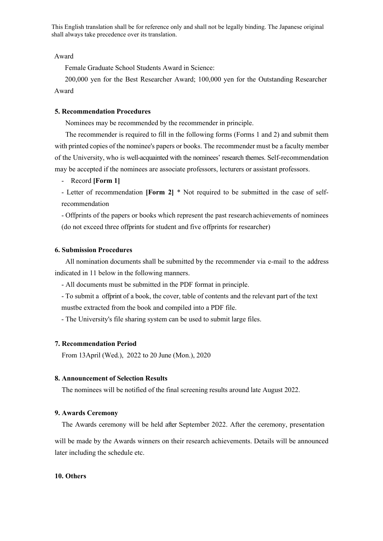Award

Female Graduate School Students Award in Science:

200,000 yen for the Best Researcher Award; 100,000 yen for the Outstanding Researcher Award

#### **5. Recommendation Procedures**

Nominees may be recommended by the recommender in principle.

The recommender is required to fill in the following forms (Forms 1 and 2) and submit them with printed copies of the nominee's papers or books. The recommender must be a faculty member of the University, who is well-acquainted with the nominees' research themes. Self-recommendation may be accepted if the nominees are associate professors, lecturers or assistant professors.

- Record **[Form 1]**

- Letter of recommendation **[Form 2]** \* Not required to be submitted in the case of selfrecommendation

- Offprints of the papers or books which represent the past research achievements of nominees (do not exceed three offprints for student and five offprints for researcher)

### **6. Submission Procedures**

All nomination documents shall be submitted by the recommender via e-mail to the address indicated in 11 below in the following manners.

- All documents must be submitted in the PDF format in principle.

- To submit a offprint of a book, the cover, table of contents and the relevant part of the text mustbe extracted from the book and compiled into a PDF file.

- The University's file sharing system can be used to submit large files.

#### **7. Recommendation Period**

From 13April (Wed.), 2022 to 20 June (Mon.), 2020

## **8. Announcement of Selection Results**

The nominees will be notified of the final screening results around late August 2022.

## **9. Awards Ceremony**

The Awards ceremony will be held after September 2022. After the ceremony, presentation

will be made by the Awards winners on their research achievements. Details will be announced later including the schedule etc.

#### **10. Others**